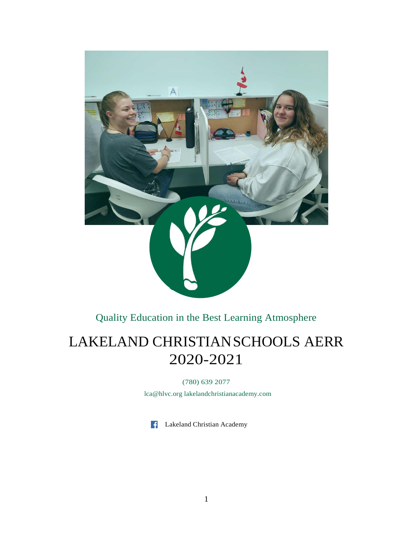

Quality Education in the Best Learning Atmosphere

# LAKELAND CHRISTIANSCHOOLS AERR 2020-2021

(780) 639 2077

[lca@hlvc.org](mailto:lca@hlvc.org) lakelandchristianacademy.com

Lakeland Christian Academy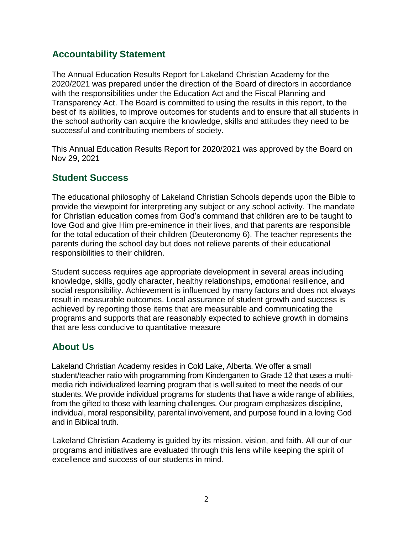## **Accountability Statement**

The Annual Education Results Report for Lakeland Christian Academy for the 2020/2021 was prepared under the direction of the Board of directors in accordance with the responsibilities under the Education Act and the Fiscal Planning and Transparency Act. The Board is committed to using the results in this report, to the best of its abilities, to improve outcomes for students and to ensure that all students in the school authority can acquire the knowledge, skills and attitudes they need to be successful and contributing members of society.

This Annual Education Results Report for 2020/2021 was approved by the Board on Nov 29, 2021

### **Student Success**

The educational philosophy of Lakeland Christian Schools depends upon the Bible to provide the viewpoint for interpreting any subject or any school activity. The mandate for Christian education comes from God's command that children are to be taught to love God and give Him pre-eminence in their lives, and that parents are responsible for the total education of their children (Deuteronomy 6). The teacher represents the parents during the school day but does not relieve parents of their educational responsibilities to their children.

Student success requires age appropriate development in several areas including knowledge, skills, godly character, healthy relationships, emotional resilience, and social responsibility. Achievement is influenced by many factors and does not always result in measurable outcomes. Local assurance of student growth and success is achieved by reporting those items that are measurable and communicating the programs and supports that are reasonably expected to achieve growth in domains that are less conducive to quantitative measure

## **About Us**

Lakeland Christian Academy resides in Cold Lake, Alberta. We offer a small student/teacher ratio with programming from Kindergarten to Grade 12 that uses a multimedia rich individualized learning program that is well suited to meet the needs of our students. We provide individual programs for students that have a wide range of abilities, from the gifted to those with learning challenges. Our program emphasizes discipline, individual, moral responsibility, parental involvement, and purpose found in a loving God and in Biblical truth.

Lakeland Christian Academy is guided by its mission, vision, and faith. All our of our programs and initiatives are evaluated through this lens while keeping the spirit of excellence and success of our students in mind.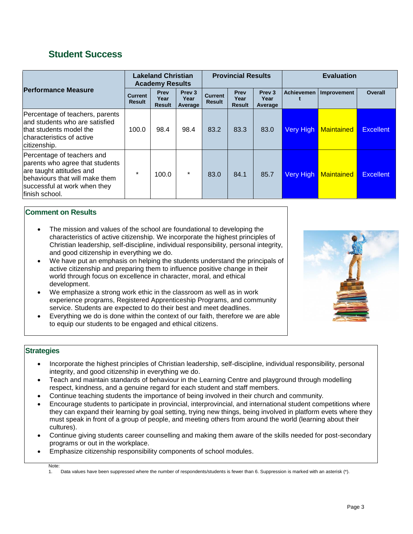### **Student Success**

|                                                                                                                                                                               | <b>Lakeland Christian</b><br><b>Academy Results</b> |                                      |                                      | <b>Provincial Results</b>       |                               |                                      | <b>Evaluation</b> |                   |                  |
|-------------------------------------------------------------------------------------------------------------------------------------------------------------------------------|-----------------------------------------------------|--------------------------------------|--------------------------------------|---------------------------------|-------------------------------|--------------------------------------|-------------------|-------------------|------------------|
| <b>Performance Measure</b>                                                                                                                                                    | <b>Current</b><br><b>Result</b>                     | <b>Prev</b><br>Year<br><b>Result</b> | Prev <sub>3</sub><br>Year<br>Average | <b>Current</b><br><b>Result</b> | Prev<br>Year<br><b>Result</b> | Prev <sub>3</sub><br>Year<br>Average | <b>Achievemen</b> | Improvement       | <b>Overall</b>   |
| Percentage of teachers, parents<br>land students who are satisfied<br>that students model the<br>characteristics of active<br>citizenship.                                    | 100.0                                               | 98.4                                 | 98.4                                 | 83.2                            | 83.3                          | 83.0                                 | <b>Very High</b>  | <b>Maintained</b> | <b>Excellent</b> |
| Percentage of teachers and<br>parents who agree that students<br>are taught attitudes and<br>behaviours that will make them<br>successful at work when they<br>finish school. | $\star$                                             | 100.0                                | $\star$                              | 83.0                            | 84.1                          | 85.7                                 | <b>Very High</b>  | <b>Maintained</b> | <b>Excellent</b> |

#### **Comment on Results**

- The mission and values of the school are foundational to developing the characteristics of active citizenship. We incorporate the highest principles of Christian leadership, self-discipline, individual responsibility, personal integrity, and good citizenship in everything we do.
- We have put an emphasis on helping the students understand the principals of active citizenship and preparing them to influence positive change in their world through focus on excellence in character, moral, and ethical development.
- We emphasize a strong work ethic in the classroom as well as in work experience programs, Registered Apprenticeship Programs, and community service. Students are expected to do their best and meet deadlines.
- Everything we do is done within the context of our faith, therefore we are able to equip our students to be engaged and ethical citizens.



#### **Strategies**

- Incorporate the highest principles of Christian leadership, self-discipline, individual responsibility, personal integrity, and good citizenship in everything we do.
- Teach and maintain standards of behaviour in the Learning Centre and playground through modelling respect, kindness, and a genuine regard for each student and staff members.
- Continue teaching students the importance of being involved in their church and community.
- Encourage students to participate in provincial, interprovincial, and international student competitions where they can expand their learning by goal setting, trying new things, being involved in platform evets where they must speak in front of a group of people, and meeting others from around the world (learning about their cultures).
- Continue giving students career counselling and making them aware of the skills needed for post-secondary programs or out in the workplace.
- Emphasize citizenship responsibility components of school modules.

Note:

<sup>1.</sup> Data values have been suppressed where the number of respondents/students is fewer than 6. Suppression is marked with an asterisk (\*).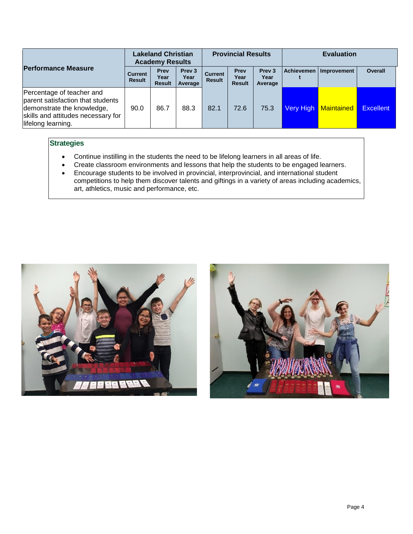|                                                                                                                                                          |                                 | <b>Lakeland Christian</b><br><b>Academy Results</b> |                                      |                                 | <b>Provincial Results</b>     |                                      |           | <b>Evaluation</b>        |                  |
|----------------------------------------------------------------------------------------------------------------------------------------------------------|---------------------------------|-----------------------------------------------------|--------------------------------------|---------------------------------|-------------------------------|--------------------------------------|-----------|--------------------------|------------------|
| <b>Performance Measure</b>                                                                                                                               | <b>Current</b><br><b>Result</b> | Prev<br>Year<br><b>Result</b>                       | Prev <sub>3</sub><br>Year<br>Average | <b>Current</b><br><b>Result</b> | Prev<br>Year<br><b>Result</b> | Prev <sub>3</sub><br>Year<br>Average |           | Achievemen   Improvement | Overall          |
| Percentage of teacher and<br>parent satisfaction that students<br>demonstrate the knowledge,<br>skills and attitudes necessary for<br>lifelong learning. | 90.0                            | 86.7                                                | 88.3                                 | 82.1                            | 72.6                          | 75.3                                 | Very High | <b>Maintained</b>        | <b>Excellent</b> |

### **Strategies**

- Continue instilling in the students the need to be lifelong learners in all areas of life.
- Create classroom environments and lessons that help the students to be engaged learners.
- Encourage students to be involved in provincial, interprovincial, and international student competitions to help them discover talents and giftings in a variety of areas including academics, art, athletics, music and performance, etc.



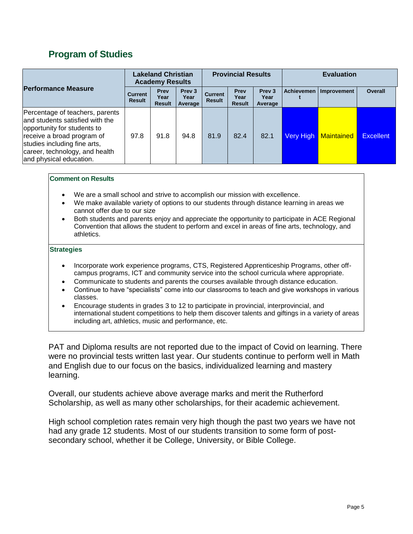# **Program of Studies**

|                                                                                                                                                                                                                               |                                 | <b>Lakeland Christian</b><br><b>Academy Results</b> |                                      | <b>Provincial Results</b>       |                               |                                      | <b>Evaluation</b> |                   |                  |
|-------------------------------------------------------------------------------------------------------------------------------------------------------------------------------------------------------------------------------|---------------------------------|-----------------------------------------------------|--------------------------------------|---------------------------------|-------------------------------|--------------------------------------|-------------------|-------------------|------------------|
| <b>Performance Measure</b>                                                                                                                                                                                                    | <b>Current</b><br><b>Result</b> | Prev<br>Year<br><b>Result</b>                       | Prev <sub>3</sub><br>Year<br>Average | <b>Current</b><br><b>Result</b> | Prev<br>Year<br><b>Result</b> | Prev <sub>3</sub><br>Year<br>Average | Achievemen        | Improvement       | <b>Overall</b>   |
| Percentage of teachers, parents<br>land students satisfied with the<br>opportunity for students to<br>receive a broad program of<br>studies including fine arts,<br>career, technology, and health<br>and physical education. | 97.8                            | 91.8                                                | 94.8                                 | 81.9                            | 82.4                          | 82.1                                 | Very High         | <b>Maintained</b> | <b>Excellent</b> |

#### **Comment on Results**

- We are a small school and strive to accomplish our mission with excellence.
- We make available variety of options to our students through distance learning in areas we cannot offer due to our size
- Both students and parents enjoy and appreciate the opportunity to participate in ACE Regional Convention that allows the student to perform and excel in areas of fine arts, technology, and athletics.

#### **Strategies**

- Incorporate work experience programs, CTS, Registered Apprenticeship Programs, other offcampus programs, ICT and community service into the school curricula where appropriate.
- Communicate to students and parents the courses available through distance education.
- Continue to have "specialists" come into our classrooms to teach and give workshops in various classes.
- Encourage students in grades 3 to 12 to participate in provincial, interprovincial, and international student competitions to help them discover talents and giftings in a variety of areas including art, athletics, music and performance, etc.

PAT and Diploma results are not reported due to the impact of Covid on learning. There were no provincial tests written last year. Our students continue to perform well in Math and English due to our focus on the basics, individualized learning and mastery learning.

Overall, our students achieve above average marks and merit the Rutherford Scholarship, as well as many other scholarships, for their academic achievement.

High school completion rates remain very high though the past two years we have not had any grade 12 students. Most of our students transition to some form of postsecondary school, whether it be College, University, or Bible College.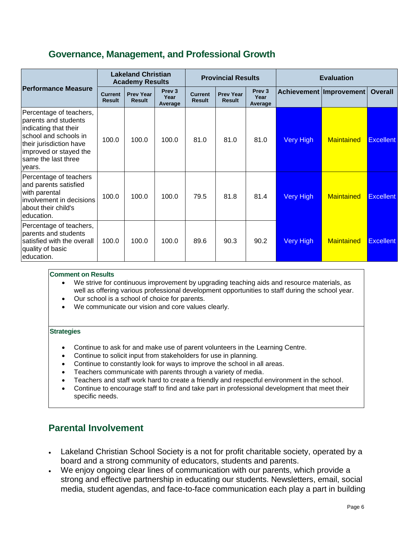### **Governance, Management, and Professional Growth**

|                                                                                                                                                                                         | <b>Lakeland Christian</b><br><b>Academy Results</b> |                                   |                                      |                                 | <b>Provincial Results</b>         |                                      | <b>Evaluation</b> |                           |                  |
|-----------------------------------------------------------------------------------------------------------------------------------------------------------------------------------------|-----------------------------------------------------|-----------------------------------|--------------------------------------|---------------------------------|-----------------------------------|--------------------------------------|-------------------|---------------------------|------------------|
| <b>Performance Measure</b>                                                                                                                                                              | <b>Current</b><br><b>Result</b>                     | <b>Prev Year</b><br><b>Result</b> | Prev <sub>3</sub><br>Year<br>Average | <b>Current</b><br><b>Result</b> | <b>Prev Year</b><br><b>Result</b> | Prev <sub>3</sub><br>Year<br>Average |                   | Achievement   Improvement | <b>Overall</b>   |
| Percentage of teachers,<br>parents and students<br>indicating that their<br>school and schools in<br>their jurisdiction have<br>improved or stayed the<br>same the last three<br>vears. | 100.0                                               | 100.0                             | 100.0                                | 81.0                            | 81.0                              | 81.0                                 | <b>Very High</b>  | <b>Maintained</b>         | <b>Excellent</b> |
| Percentage of teachers<br>and parents satisfied<br>with parental<br>involvement in decisions<br>about their child's<br>leducation.                                                      | 100.0                                               | 100.0                             | 100.0                                | 79.5                            | 81.8                              | 81.4                                 | <b>Very High</b>  | <b>Maintained</b>         | <b>Excellent</b> |
| Percentage of teachers,<br>parents and students<br>satisfied with the overall<br>quality of basic<br>education.                                                                         | 100.0                                               | 100.0                             | 100.0                                | 89.6                            | 90.3                              | 90.2                                 | <b>Very High</b>  | <b>Maintained</b>         | <b>Excellent</b> |

#### **Comment on Results**

- We strive for continuous improvement by upgrading teaching aids and resource materials, as well as offering various professional development opportunities to staff during the school year.
- Our school is a school of choice for parents.
- We communicate our vision and core values clearly.

#### **Strategies**

- Continue to ask for and make use of parent volunteers in the Learning Centre.
- Continue to solicit input from stakeholders for use in planning.
- Continue to constantly look for ways to improve the school in all areas.
- Teachers communicate with parents through a variety of media.
- Teachers and staff work hard to create a friendly and respectful environment in the school.
- Continue to encourage staff to find and take part in professional development that meet their specific needs.

### **Parental Involvement**

- Lakeland Christian School Society is a not for profit charitable society, operated by a board and a strong community of educators, students and parents.
- We enjoy ongoing clear lines of communication with our parents, which provide a strong and effective partnership in educating our students. Newsletters, email, social media, student agendas, and face-to-face communication each play a part in building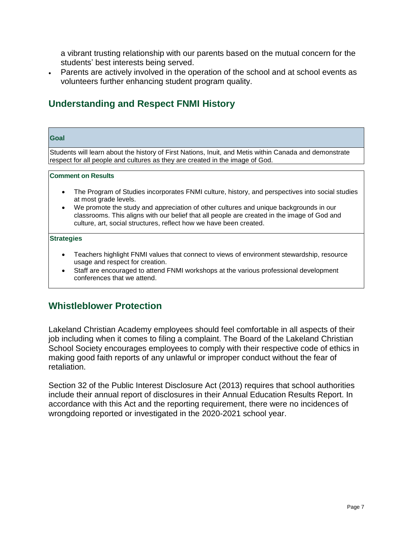a vibrant trusting relationship with our parents based on the mutual concern for the students' best interests being served.

• Parents are actively involved in the operation of the school and at school events as volunteers further enhancing student program quality.

# **Understanding and Respect FNMI History**

| <b>Goal</b>                                                                                                                                                                            |  |  |  |  |  |  |  |  |
|----------------------------------------------------------------------------------------------------------------------------------------------------------------------------------------|--|--|--|--|--|--|--|--|
| Students will learn about the history of First Nations, Inuit, and Metis within Canada and demonstrate<br>respect for all people and cultures as they are created in the image of God. |  |  |  |  |  |  |  |  |
|                                                                                                                                                                                        |  |  |  |  |  |  |  |  |
| <b>Comment on Results</b>                                                                                                                                                              |  |  |  |  |  |  |  |  |
| The Program of Studies incorporates FNMI culture, history, and perspectives into social studies<br>$\bullet$<br>at most grade levels.                                                  |  |  |  |  |  |  |  |  |

• We promote the study and appreciation of other cultures and unique backgrounds in our classrooms. This aligns with our belief that all people are created in the image of God and culture, art, social structures, reflect how we have been created.

#### **Strategies**

- Teachers highlight FNMI values that connect to views of environment stewardship, resource usage and respect for creation.
- Staff are encouraged to attend FNMI workshops at the various professional development conferences that we attend.

### **Whistleblower Protection**

Lakeland Christian Academy employees should feel comfortable in all aspects of their job including when it comes to filing a complaint. The Board of the Lakeland Christian School Society encourages employees to comply with their respective code of ethics in making good faith reports of any unlawful or improper conduct without the fear of retaliation.

Section 32 of the Public Interest Disclosure Act (2013) requires that school authorities include their annual report of disclosures in their Annual Education Results Report. In accordance with this Act and the reporting requirement, there were no incidences of wrongdoing reported or investigated in the 2020-2021 school year.